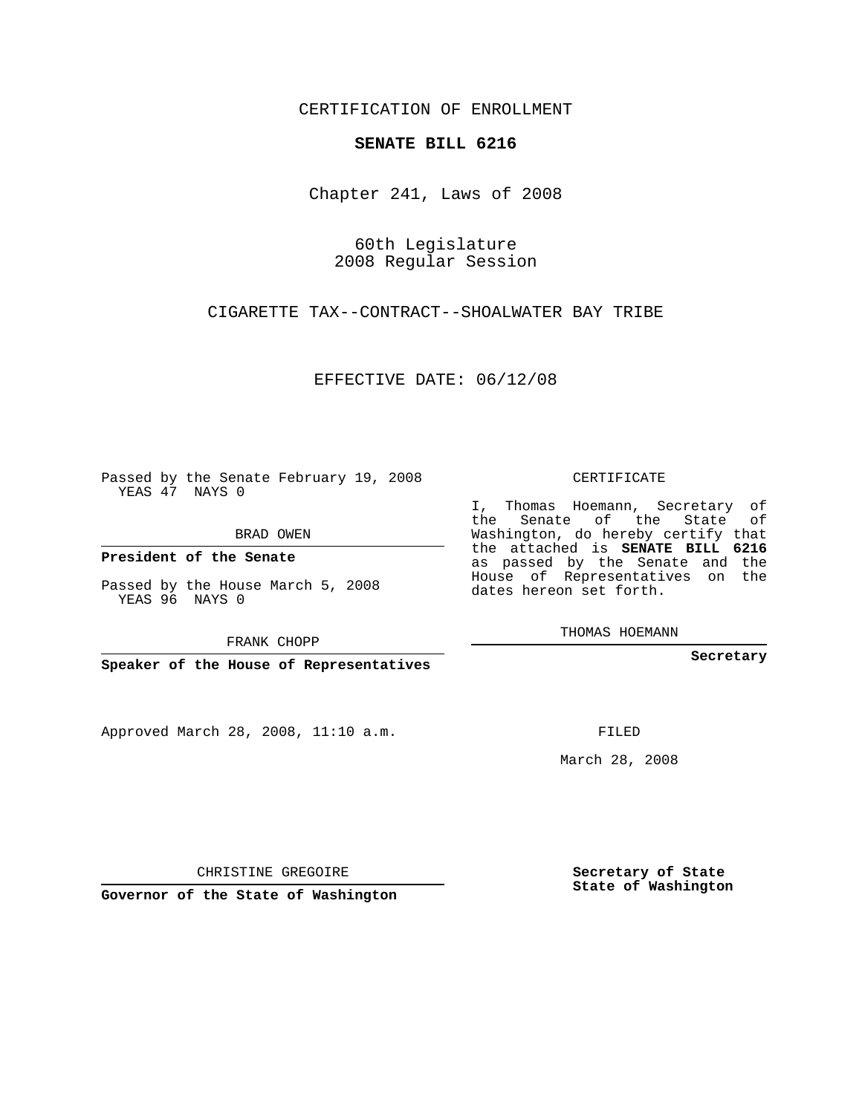CERTIFICATION OF ENROLLMENT

## **SENATE BILL 6216**

Chapter 241, Laws of 2008

60th Legislature 2008 Regular Session

CIGARETTE TAX--CONTRACT--SHOALWATER BAY TRIBE

EFFECTIVE DATE: 06/12/08

Passed by the Senate February 19, 2008 YEAS 47 NAYS 0

BRAD OWEN

**President of the Senate**

Passed by the House March 5, 2008 YEAS 96 NAYS 0

FRANK CHOPP

**Speaker of the House of Representatives**

Approved March 28, 2008, 11:10 a.m.

CERTIFICATE

I, Thomas Hoemann, Secretary of the Senate of the State of Washington, do hereby certify that the attached is **SENATE BILL 6216** as passed by the Senate and the House of Representatives on the dates hereon set forth.

THOMAS HOEMANN

**Secretary**

FILED

March 28, 2008

**Secretary of State State of Washington**

CHRISTINE GREGOIRE

**Governor of the State of Washington**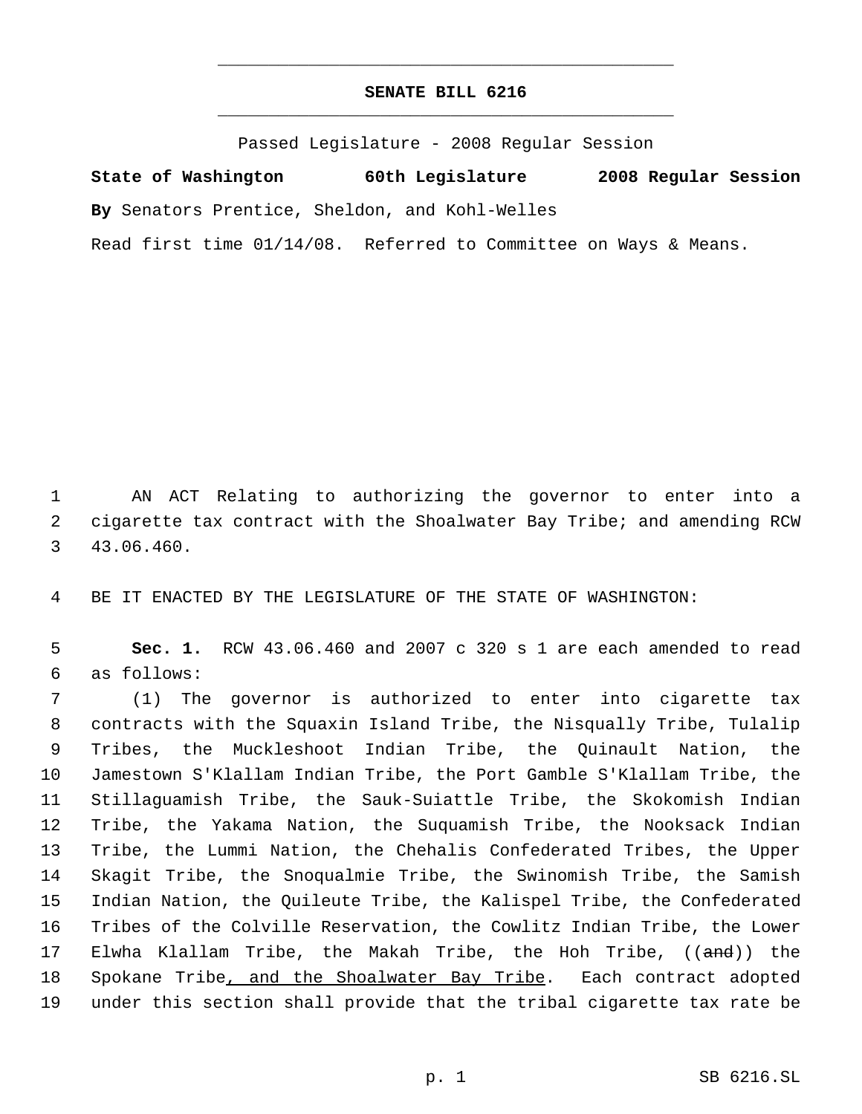## **SENATE BILL 6216** \_\_\_\_\_\_\_\_\_\_\_\_\_\_\_\_\_\_\_\_\_\_\_\_\_\_\_\_\_\_\_\_\_\_\_\_\_\_\_\_\_\_\_\_\_

\_\_\_\_\_\_\_\_\_\_\_\_\_\_\_\_\_\_\_\_\_\_\_\_\_\_\_\_\_\_\_\_\_\_\_\_\_\_\_\_\_\_\_\_\_

Passed Legislature - 2008 Regular Session

**State of Washington 60th Legislature 2008 Regular Session By** Senators Prentice, Sheldon, and Kohl-Welles Read first time 01/14/08. Referred to Committee on Ways & Means.

 AN ACT Relating to authorizing the governor to enter into a cigarette tax contract with the Shoalwater Bay Tribe; and amending RCW 43.06.460.

BE IT ENACTED BY THE LEGISLATURE OF THE STATE OF WASHINGTON:

 **Sec. 1.** RCW 43.06.460 and 2007 c 320 s 1 are each amended to read as follows:

 (1) The governor is authorized to enter into cigarette tax contracts with the Squaxin Island Tribe, the Nisqually Tribe, Tulalip Tribes, the Muckleshoot Indian Tribe, the Quinault Nation, the Jamestown S'Klallam Indian Tribe, the Port Gamble S'Klallam Tribe, the Stillaguamish Tribe, the Sauk-Suiattle Tribe, the Skokomish Indian Tribe, the Yakama Nation, the Suquamish Tribe, the Nooksack Indian Tribe, the Lummi Nation, the Chehalis Confederated Tribes, the Upper Skagit Tribe, the Snoqualmie Tribe, the Swinomish Tribe, the Samish Indian Nation, the Quileute Tribe, the Kalispel Tribe, the Confederated Tribes of the Colville Reservation, the Cowlitz Indian Tribe, the Lower 17 Elwha Klallam Tribe, the Makah Tribe, the Hoh Tribe, ((<del>and</del>)) the 18 Spokane Tribe, and the Shoalwater Bay Tribe. Each contract adopted under this section shall provide that the tribal cigarette tax rate be